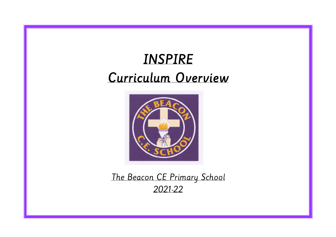# INSPIRE Curriculum Overview



The Beacon CE Primary School 2021-22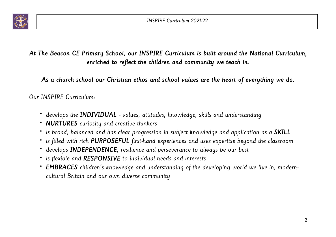

# At The Beacon CE Primary School, our INSPIRE Curriculum is built around the National Curriculum, enriched to reflect the children and community we teach in.

As a church school our Christian ethos and school values are the heart of everything we do.

Our INSPIRE Curriculum:

- develops the **INDIVIDUAL** values, attitudes, knowledge, skills and understanding
- **NURTURES** curiosity and creative thinkers
- is broad, balanced and has clear progression in subject knowledge and application as a SKILL
- is filled with rich PURPOSEFUL first-hand experiences and uses expertise beyond the classroom
- develops **INDEPENDENCE**, resilience and perseverance to always be our best
- is flexible and RESPONSIVE to individual needs and interests
- EMBRACES children's knowledge and understanding of the developing world we live in, moderncultural Britain and our own diverse community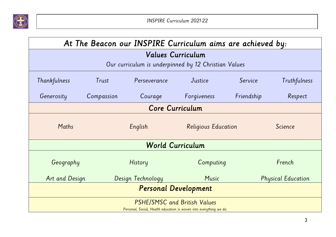

| At The Beacon our INSPIRE Curriculum aims are achieved by:                                                |            |                   |                     |            |                           |  |
|-----------------------------------------------------------------------------------------------------------|------------|-------------------|---------------------|------------|---------------------------|--|
| <b>Values Curriculum</b>                                                                                  |            |                   |                     |            |                           |  |
| Our curriculum is underpinned by 12 Christian Values                                                      |            |                   |                     |            |                           |  |
| Thankfulness                                                                                              | Trust      | Perseverance      | Justice             | Service    | Truthfulness              |  |
| Generosity                                                                                                | Compassion | Courage           | Forgiveness         | Friendship | Respect                   |  |
| <b>Core Curriculum</b>                                                                                    |            |                   |                     |            |                           |  |
| Maths                                                                                                     |            | English           | Religious Education |            | Science                   |  |
| <b>World Curriculum</b>                                                                                   |            |                   |                     |            |                           |  |
| Geography                                                                                                 |            | History           | Computing           |            | French                    |  |
| Art and Design                                                                                            |            | Design Technology | Music               |            | <b>Physical Education</b> |  |
| <b>Personal Development</b>                                                                               |            |                   |                     |            |                           |  |
| <b>PSHE/SMSC and British Values</b><br>Personal, Social, Health education is woven into everything we do. |            |                   |                     |            |                           |  |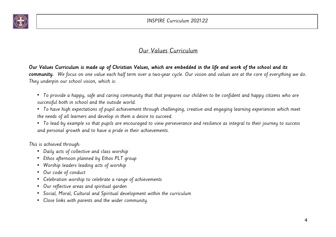

### Our Values Curriculum

#### Our Values Curriculum is made up of Christian Values, which are embedded in the life and work of the school and its

community. We focus on one value each half term over a two-year cycle. Our vision and values are at the core of everything we do. They underpin our school vision, which is:

- To provide a happy, safe and caring community that that prepares our children to be confident and happy citizens who are successful both in school and the outside world.
- To have high expectations of pupil achievement through challenging, creative and engaging learning experiences which meet the needs of all learners and develop in them a desire to succeed.
- To lead by example so that pupils are encouraged to view perseverance and resilience as integral to their journey to success and personal growth and to have a pride in their achievements.

This is achieved through:

- Daily acts of collective and class worship
- Ethos afternoon planned by Ethos PLT group
- Worship leaders leading acts of worship
- Our code of conduct
- Celebration worship to celebrate a range of achievements
- Our reflective areas and spiritual garden
- Social, Moral, Cultural and Spiritual development within the curriculum
- Close links with parents and the wider community.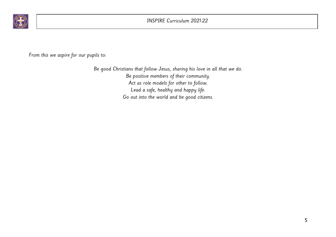

From this we aspire for our pupils to:

Be good Christians that follow Jesus, sharing his love in all that we do. Be positive members of their community. Act as role models for other to follow. Lead a safe, healthy and happy life. Go out into the world and be good citizens.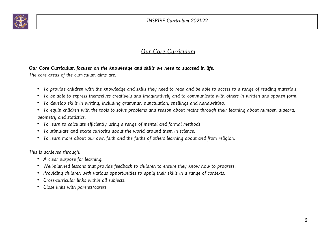

### Our Core Curriculum

#### Our Core Curriculum focuses on the knowledge and skills we need to succeed in life.

The core areas of the curriculum aims are:

- To provide children with the knowledge and skills they need to read and be able to access to a range of reading materials.
- To be able to express themselves creatively and imaginatively and to communicate with others in written and spoken form.
- To develop skills in writing, including grammar, punctuation, spellings and handwriting.
- To equip children with the tools to solve problems and reason about maths through their learning about number, algebra, geometry and statistics.
- To learn to calculate efficiently using a range of mental and formal methods.
- To stimulate and excite curiosity about the world around them in science.
- To learn more about our own faith and the faiths of others learning about and from religion.

This is achieved through:

- A clear purpose for learning.
- Well-planned lessons that provide feedback to children to ensure they know how to progress.
- Providing children with various opportunities to apply their skills in a range of contexts.
- Cross-curricular links within all subjects.
- Close links with parents/carers.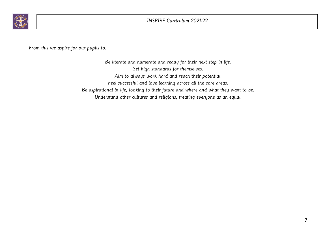

From this we aspire for our pupils to:

Be literate and numerate and ready for their next step in life. Set high standards for themselves. Aim to always work hard and reach their potential. Feel successful and love learning across all the core areas. Be aspirational in life, looking to their future and where and what they want to be. Understand other cultures and religions, treating everyone as an equal.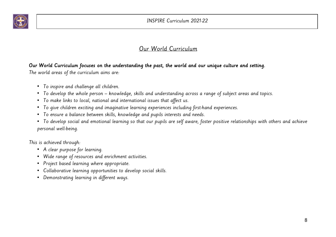

INSPIRE Curriculum 2021-22

#### Our World Curriculum

#### Our World Curriculum focuses on the understanding the past, the world and our unique culture and setting.

The world areas of the curriculum aims are:

- To inspire and challenge all children.
- To develop the whole person knowledge, skills and understanding across a range of subject areas and topics.
- To make links to local, national and international issues that affect us.
- To give children exciting and imaginative learning experiences including first-hand experiences.
- To ensure a balance between skills, knowledge and pupils interests and needs.
- To develop social and emotional learning so that our pupils are self aware, foster positive relationships with others and achieve personal well-being.

This is achieved through:

- A clear purpose for learning.
- Wide range of resources and enrichment activities.
- Project based learning where appropriate.
- Collaborative learning opportunities to develop social skills.
- Demonstrating learning in different ways.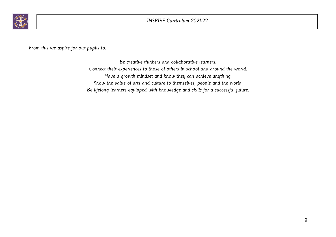

From this we aspire for our pupils to:

Be creative thinkers and collaborative learners. Connect their experiences to those of others in school and around the world. Have a growth mindset and know they can achieve anything. Know the value of arts and culture to themselves, people and the world. Be lifelong learners equipped with knowledge and skills for a successful future.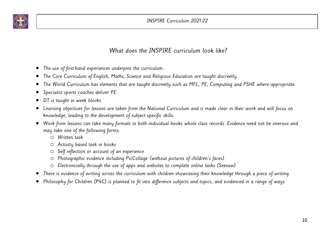

### What does the INSPIRE curriculum look like?

- The use of first-hand experiences underpins the curriculum.
- The Core Curriculum of English, Maths, Science and Religious Education are taught discreetly.
- The World Curriculum has elements that are taught discreetly such as MFL, PE, Computing and PSHE where appropriate.
- Specialist sports coaches deliver PE.
- DT is taught in week blocks.
- Learning objectives for lessons are taken from the National Curriculum and is made clear in their work and will focus on knowledge, leading to the development of subject specific skills.
- Work from lessons can take many formats in both individual books whole class records. Evidence need not be onerous and may take one of the following forms;
	- o Written task
	- o Activity based task in books
	- o Self reflection or account of an experience
	- o Photographic evidence including PicCollage (without pictures of children's faces)
	- o Electronically through the use of apps and websites to complete online tasks (Seesaw)
- There is evidence of writing across the curriculum with children showcasing their knowledge through a piece of writing.
- Philosophy for Children (P4C) is planned to fit into difference subjects and topics, and evidenced in a range of ways.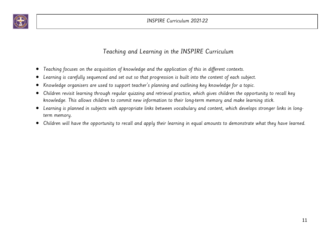

## Teaching and Learning in the INSPIRE Curriculum

- Teaching focuses on the acquisition of knowledge and the application of this in different contexts.
- Learning is carefully sequenced and set out so that progression is built into the content of each subject.
- Knowledge organisers are used to support teacher's planning and outlining key knowledge for a topic.
- Children revisit learning through regular quizzing and retrieval practice, which gives children the opportunity to recall key knowledge. This allows children to commit new information to their long-term memory and make learning stick.
- Learning is planned in subjects with appropriate links between vocabulary and content, which develops stronger links in longterm memory.
- Children will have the opportunity to recall and apply their learning in equal amounts to demonstrate what they have learned.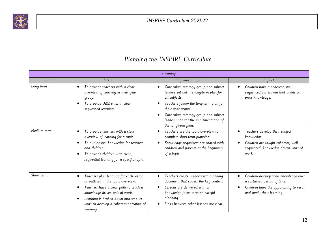

|  |  |  | Planning the INSPIRE Curriculum |
|--|--|--|---------------------------------|
|--|--|--|---------------------------------|

| Planning    |                                                                                                                                                                                                                                                          |                                                                                                                                                                                                         |                                                                                                                                              |  |
|-------------|----------------------------------------------------------------------------------------------------------------------------------------------------------------------------------------------------------------------------------------------------------|---------------------------------------------------------------------------------------------------------------------------------------------------------------------------------------------------------|----------------------------------------------------------------------------------------------------------------------------------------------|--|
| Form        | Intent                                                                                                                                                                                                                                                   | Implementation                                                                                                                                                                                          | Impact                                                                                                                                       |  |
| Long term   | To provide teachers with a clear<br>overview of learning in their year<br>group.                                                                                                                                                                         | Curriculum strategy group and subject<br>leaders set out the long-term plan for<br>all subjects.                                                                                                        | Children have a coherent, well-<br>sequenced curriculum that builds on<br>prior knowledge.                                                   |  |
|             | To provide children with clear<br>sequenced learning.                                                                                                                                                                                                    | Teachers follow the long-term plan for<br>their year group.<br>Curriculum strategy group and subject<br>leaders monitor the implementation of<br>the long-term plan.                                    |                                                                                                                                              |  |
| Medium term | To provide teachers with a clear<br>overview of learning for a topic.<br>To outline key knowledge for teachers<br>and children.<br>To provide children with clear,<br>sequential learning for a specific topic.                                          | Teachers use the topic overview to<br>о<br>complete short-term planning.<br>Knowledge organisers are shared with<br>children and parents at the beginning<br>of a topic.                                | Teachers develop their subject<br>knowledge.<br>Children are taught coherent, well-<br>sequenced, knowledge driven units of<br>work.         |  |
| Short term  | Teachers plan learning for each lesson<br>as outlined in the topic overview.<br>Teachers have a clear path to teach a<br>knowledge driven unit of work.<br>Learning is broken down into smaller<br>units to develop a coherent narrative of<br>learning. | Teachers create a short-term planning<br>document that covers the key content<br>Lessons are delivered with a<br>knowledge focus through careful<br>planning.<br>Links between other lessons are clear. | Children develop their knowledge over<br>a sustained period of time.<br>Children have the opportunity to recall<br>and apply their learning. |  |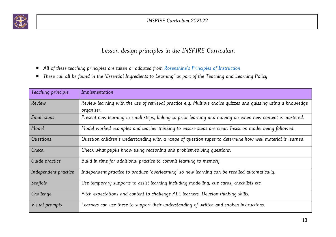

## Lesson design principles in the INSPIRE Curriculum

- All of these teaching principles are taken or adapted from Rosenshine's Principles of Instruction
- These call all be found in the 'Essential Ingredients to Learning' as part of the Teaching and Learning Policy

| Teaching principle   | Implementation                                                                                                               |
|----------------------|------------------------------------------------------------------------------------------------------------------------------|
| Review               | Review learning with the use of retrieval practice e.g. Multiple choice quizzes and quizzing using a knowledge<br>organiser. |
| Small steps          | Present new learning in small steps, linking to prior learning and moving on when new content is mastered.                   |
| Model                | Model worked examples and teacher thinking to ensure steps are clear. Insist on model being followed.                        |
| Questions            | Question children's understanding with a range of question types to determine how well material is learned.                  |
| Check                | Check what pupils know using reasoning and problem-solving questions.                                                        |
| Guide practice       | Build in time for additional practice to commit learning to memory.                                                          |
| Independent practice | Independent practice to produce 'overlearning' so new learning can be recalled automatically.                                |
| Scaffold             | Use temporary supports to assist learning including modelling, cue cards, checklists etc.                                    |
| Challenge            | Pitch expectations and content to challenge ALL learners. Develop thinking skills.                                           |
| Visual prompts       | Learners can use these to support their understanding of written and spoken instructions.                                    |